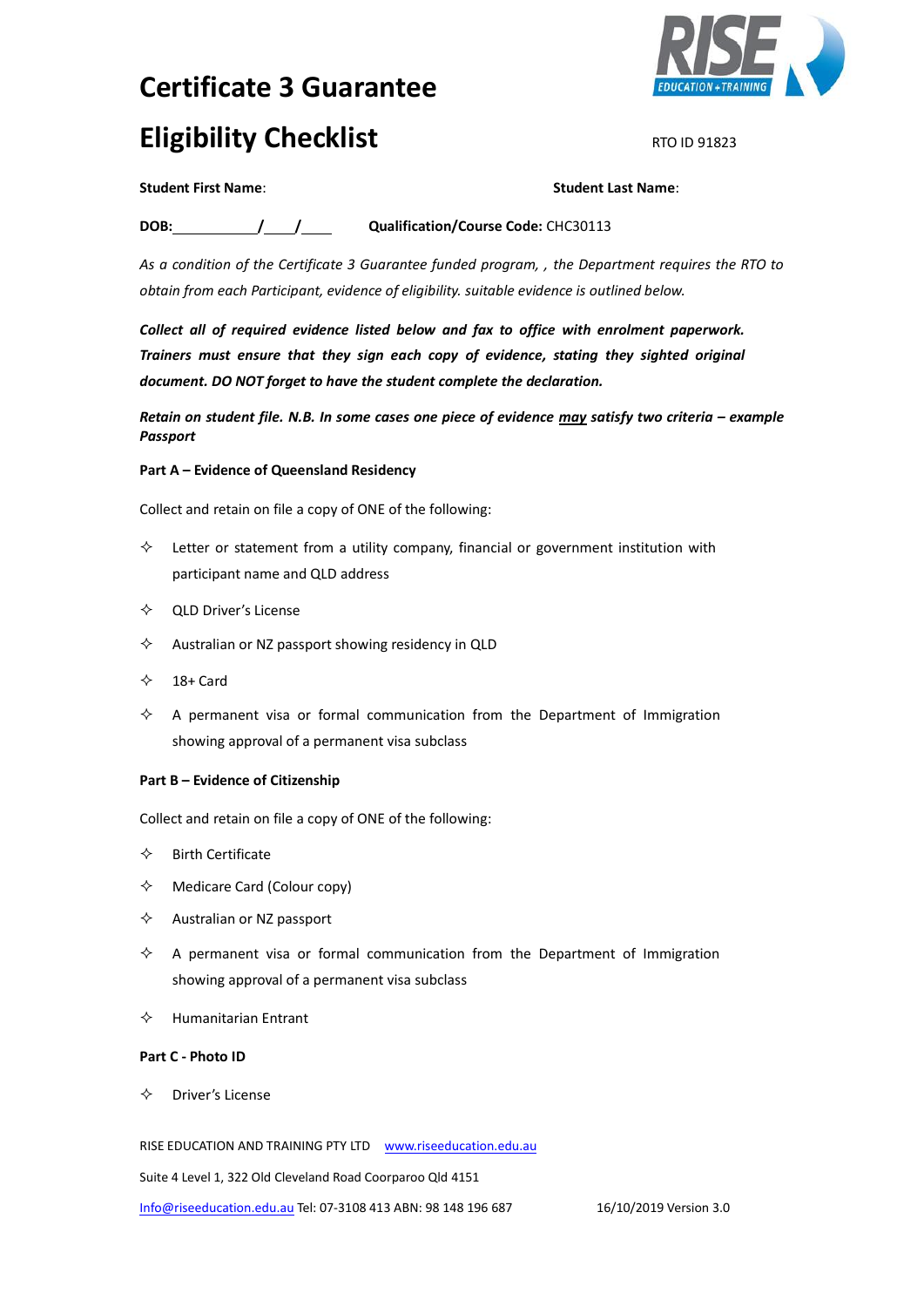# **Certificate 3 Guarantee Eligibility Checklist RTO ID 91823**



### **Student First Name**: **Student Last Name**:

**DOB: / / Qualification/Course Code:** CHC30113

*As a condition of the Certificate 3 Guarantee funded program, , the Department requires the RTO to obtain from each Participant, evidence of eligibility. suitable evidence is outlined below.*

*Collect all of required evidence listed below and fax to office with enrolment paperwork. Trainers must ensure that they sign each copy of evidence, stating they sighted original document. DO NOT forget to have the student complete the declaration.*

*Retain on student file. N.B. In some cases one piece of evidence may satisfy two criteria – example Passport*

## **Part A – Evidence of Queensland Residency**

Collect and retain on file a copy of ONE of the following:

- $\diamond$  Letter or statement from a utility company, financial or government institution with participant name and QLD address
- $\Diamond$  QLD Driver's License
- $\Diamond$  Australian or NZ passport showing residency in QLD
- $\div$  18+ Card
- $\Diamond$  A permanent visa or formal communication from the Department of Immigration showing approval of a permanent visa subclass

#### **Part B – Evidence of Citizenship**

Collect and retain on file a copy of ONE of the following:

- $\Leftrightarrow$  Birth Certificate
- $\Leftrightarrow$  Medicare Card (Colour copy)
- $\Leftrightarrow$  Australian or NZ passport
- $\Diamond$  A permanent visa or formal communication from the Department of Immigration showing approval of a permanent visa subclass
- $\Leftrightarrow$  Humanitarian Entrant

#### **Part C - Photo ID**

 $\Leftrightarrow$  Driver's License

RISE EDUCATION AND TRAINING PTY LTD www.riseeducation.edu.au

Suite 4 Level 1, 322 Old Cleveland Road Coorparoo Qld 4151

[Info@riseeducation.edu.au](mailto:Info@riseeducation.edu.au) Tel: 07-3108 413 ABN: 98 148 196 687 16/10/2019 Version 3.0